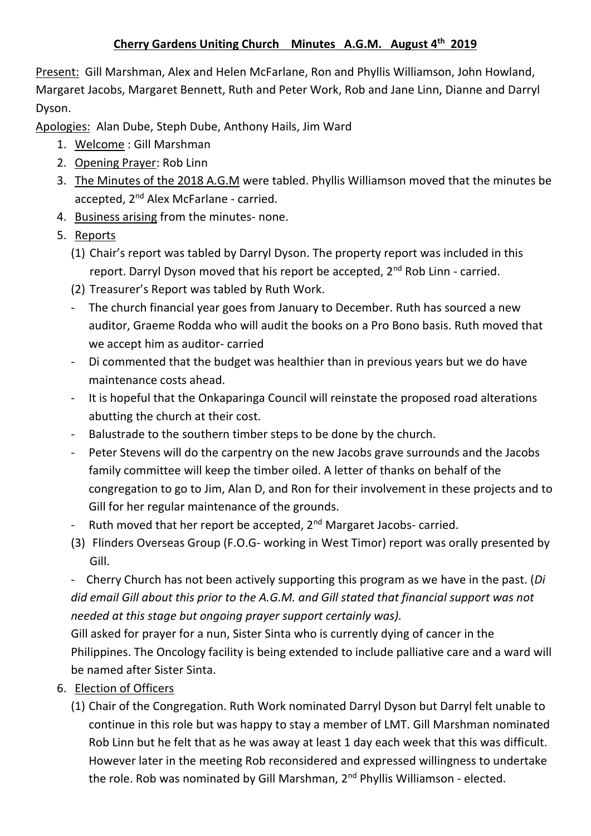## **Cherry Gardens Uniting Church Minutes A.G.M. August 4th 2019**

Present: Gill Marshman, Alex and Helen McFarlane, Ron and Phyllis Williamson, John Howland, Margaret Jacobs, Margaret Bennett, Ruth and Peter Work, Rob and Jane Linn, Dianne and Darryl Dyson.

Apologies: Alan Dube, Steph Dube, Anthony Hails, Jim Ward

- 1. Welcome : Gill Marshman
- 2. Opening Prayer: Rob Linn
- 3. The Minutes of the 2018 A.G.M were tabled. Phyllis Williamson moved that the minutes be accepted, 2<sup>nd</sup> Alex McFarlane - carried.
- 4. Business arising from the minutes- none.
- 5. Reports
	- (1) Chair's report was tabled by Darryl Dyson. The property report was included in this report. Darryl Dyson moved that his report be accepted, 2<sup>nd</sup> Rob Linn - carried.
	- (2) Treasurer's Report was tabled by Ruth Work.
	- The church financial year goes from January to December. Ruth has sourced a new auditor, Graeme Rodda who will audit the books on a Pro Bono basis. Ruth moved that we accept him as auditor- carried
	- Di commented that the budget was healthier than in previous years but we do have maintenance costs ahead.
	- It is hopeful that the Onkaparinga Council will reinstate the proposed road alterations abutting the church at their cost.
	- Balustrade to the southern timber steps to be done by the church.
	- Peter Stevens will do the carpentry on the new Jacobs grave surrounds and the Jacobs family committee will keep the timber oiled. A letter of thanks on behalf of the congregation to go to Jim, Alan D, and Ron for their involvement in these projects and to Gill for her regular maintenance of the grounds.
	- Ruth moved that her report be accepted,  $2<sup>nd</sup>$  Margaret Jacobs- carried.
	- (3) Flinders Overseas Group (F.O.G- working in West Timor) report was orally presented by Gill.

- Cherry Church has not been actively supporting this program as we have in the past. (*Di did email Gill about this prior to the A.G.M. and Gill stated that financial support was not needed at this stage but ongoing prayer support certainly was).*

Gill asked for prayer for a nun, Sister Sinta who is currently dying of cancer in the Philippines. The Oncology facility is being extended to include palliative care and a ward will be named after Sister Sinta.

- 6. Election of Officers
	- (1) Chair of the Congregation. Ruth Work nominated Darryl Dyson but Darryl felt unable to continue in this role but was happy to stay a member of LMT. Gill Marshman nominated Rob Linn but he felt that as he was away at least 1 day each week that this was difficult. However later in the meeting Rob reconsidered and expressed willingness to undertake the role. Rob was nominated by Gill Marshman, 2<sup>nd</sup> Phyllis Williamson - elected.